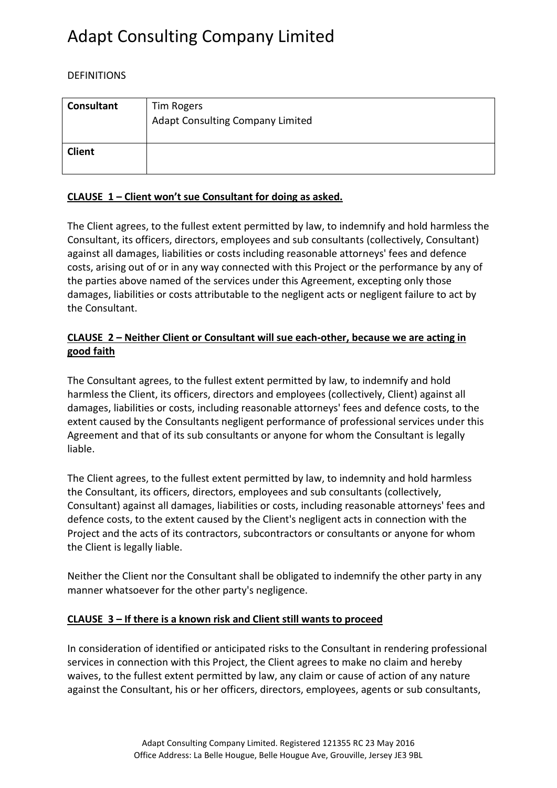# Adapt Consulting Company Limited

### DEFINITIONS

| <b>Consultant</b> | Tim Rogers<br><b>Adapt Consulting Company Limited</b> |
|-------------------|-------------------------------------------------------|
| <b>Client</b>     |                                                       |

#### **CLAUSE 1 – Client won't sue Consultant for doing as asked.**

The Client agrees, to the fullest extent permitted by law, to indemnify and hold harmless the Consultant, its officers, directors, employees and sub consultants (collectively, Consultant) against all damages, liabilities or costs including reasonable attorneys' fees and defence costs, arising out of or in any way connected with this Project or the performance by any of the parties above named of the services under this Agreement, excepting only those damages, liabilities or costs attributable to the negligent acts or negligent failure to act by the Consultant.

### **CLAUSE 2 – Neither Client or Consultant will sue each-other, because we are acting in good faith**

The Consultant agrees, to the fullest extent permitted by law, to indemnify and hold harmless the Client, its officers, directors and employees (collectively, Client) against all damages, liabilities or costs, including reasonable attorneys' fees and defence costs, to the extent caused by the Consultants negligent performance of professional services under this Agreement and that of its sub consultants or anyone for whom the Consultant is legally liable.

The Client agrees, to the fullest extent permitted by law, to indemnity and hold harmless the Consultant, its officers, directors, employees and sub consultants (collectively, Consultant) against all damages, liabilities or costs, including reasonable attorneys' fees and defence costs, to the extent caused by the Client's negligent acts in connection with the Project and the acts of its contractors, subcontractors or consultants or anyone for whom the Client is legally liable.

Neither the Client nor the Consultant shall be obligated to indemnify the other party in any manner whatsoever for the other party's negligence.

### **CLAUSE 3 – If there is a known risk and Client still wants to proceed**

In consideration of identified or anticipated risks to the Consultant in rendering professional services in connection with this Project, the Client agrees to make no claim and hereby waives, to the fullest extent permitted by law, any claim or cause of action of any nature against the Consultant, his or her officers, directors, employees, agents or sub consultants,